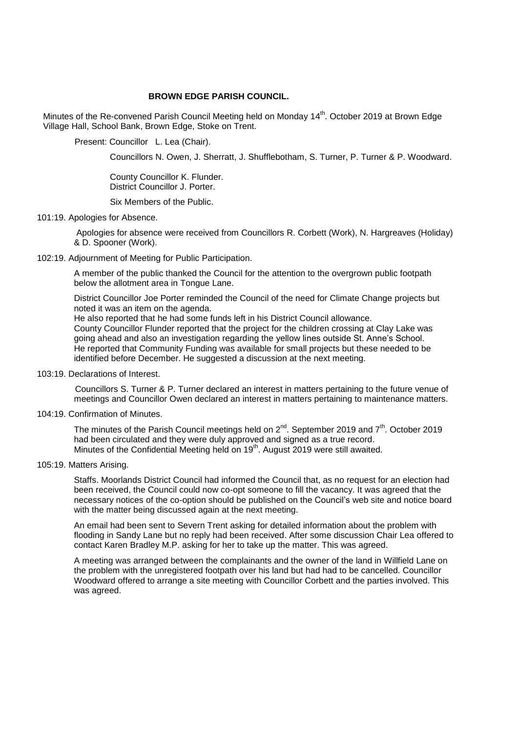# **BROWN EDGE PARISH COUNCIL.**

Minutes of the Re-convened Parish Council Meeting held on Monday 14<sup>th</sup>. October 2019 at Brown Edge Village Hall, School Bank, Brown Edge, Stoke on Trent.

Present: Councillor L. Lea (Chair).

Councillors N. Owen, J. Sherratt, J. Shufflebotham, S. Turner, P. Turner & P. Woodward.

 County Councillor K. Flunder. District Councillor J. Porter.

Six Members of the Public.

# 101:19. Apologies for Absence.

Apologies for absence were received from Councillors R. Corbett (Work), N. Hargreaves (Holiday) & D. Spooner (Work).

# 102:19. Adjournment of Meeting for Public Participation.

A member of the public thanked the Council for the attention to the overgrown public footpath below the allotment area in Tongue Lane.

District Councillor Joe Porter reminded the Council of the need for Climate Change projects but noted it was an item on the agenda.

He also reported that he had some funds left in his District Council allowance. County Councillor Flunder reported that the project for the children crossing at Clay Lake was going ahead and also an investigation regarding the yellow lines outside St. Anne's School. He reported that Community Funding was available for small projects but these needed to be identified before December. He suggested a discussion at the next meeting.

103:19. Declarations of Interest.

 Councillors S. Turner & P. Turner declared an interest in matters pertaining to the future venue of meetings and Councillor Owen declared an interest in matters pertaining to maintenance matters.

104:19. Confirmation of Minutes.

The minutes of the Parish Council meetings held on  $2^{nd}$ . September 2019 and  $7<sup>th</sup>$ . October 2019 had been circulated and they were duly approved and signed as a true record. Minutes of the Confidential Meeting held on  $19<sup>th</sup>$ . August 2019 were still awaited.

105:19. Matters Arising.

Staffs. Moorlands District Council had informed the Council that, as no request for an election had been received, the Council could now co-opt someone to fill the vacancy. It was agreed that the necessary notices of the co-option should be published on the Council's web site and notice board with the matter being discussed again at the next meeting.

An email had been sent to Severn Trent asking for detailed information about the problem with flooding in Sandy Lane but no reply had been received. After some discussion Chair Lea offered to contact Karen Bradley M.P. asking for her to take up the matter. This was agreed.

 A meeting was arranged between the complainants and the owner of the land in Willfield Lane on the problem with the unregistered footpath over his land but had had to be cancelled. Councillor Woodward offered to arrange a site meeting with Councillor Corbett and the parties involved. This was agreed.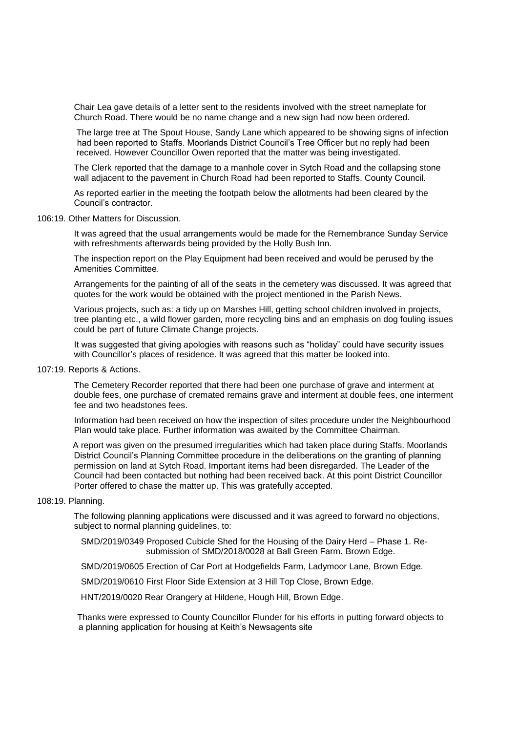Chair Lea gave details of a letter sent to the residents involved with the street nameplate for Church Road. There would be no name change and a new sign had now been ordered.

The large tree at The Spout House, Sandy Lane which appeared to be showing signs of infection had been reported to Staffs. Moorlands District Council's Tree Officer but no reply had been received. However Councillor Owen reported that the matter was being investigated.

The Clerk reported that the damage to a manhole cover in Sytch Road and the collapsing stone wall adjacent to the pavement in Church Road had been reported to Staffs. County Council.

As reported earlier in the meeting the footpath below the allotments had been cleared by the Council's contractor.

#### 106:19. Other Matters for Discussion.

It was agreed that the usual arrangements would be made for the Remembrance Sunday Service with refreshments afterwards being provided by the Holly Bush Inn.

The inspection report on the Play Equipment had been received and would be perused by the Amenities Committee.

Arrangements for the painting of all of the seats in the cemetery was discussed. It was agreed that quotes for the work would be obtained with the project mentioned in the Parish News.

Various projects, such as: a tidy up on Marshes Hill, getting school children involved in projects, tree planting etc., a wild flower garden, more recycling bins and an emphasis on dog fouling issues could be part of future Climate Change projects.

It was suggested that giving apologies with reasons such as "holiday" could have security issues with Councillor's places of residence. It was agreed that this matter be looked into.

# 107:19. Reports & Actions.

The Cemetery Recorder reported that there had been one purchase of grave and interment at double fees, one purchase of cremated remains grave and interment at double fees, one interment fee and two headstones fees.

Information had been received on how the inspection of sites procedure under the Neighbourhood Plan would take place. Further information was awaited by the Committee Chairman.

A report was given on the presumed irregularities which had taken place during Staffs. Moorlands District Council's Planning Committee procedure in the deliberations on the granting of planning permission on land at Sytch Road. Important items had been disregarded. The Leader of the Council had been contacted but nothing had been received back. At this point District Councillor Porter offered to chase the matter up. This was gratefully accepted.

# 108:19. Planning.

The following planning applications were discussed and it was agreed to forward no objections, subject to normal planning guidelines, to:

 SMD/2019/0349 Proposed Cubicle Shed for the Housing of the Dairy Herd – Phase 1. Re submission of SMD/2018/0028 at Ball Green Farm. Brown Edge.

SMD/2019/0605 Erection of Car Port at Hodgefields Farm, Ladymoor Lane, Brown Edge.

SMD/2019/0610 First Floor Side Extension at 3 Hill Top Close, Brown Edge.

HNT/2019/0020 Rear Orangery at Hildene, Hough Hill, Brown Edge.

Thanks were expressed to County Councillor Flunder for his efforts in putting forward objects to a planning application for housing at Keith's Newsagents site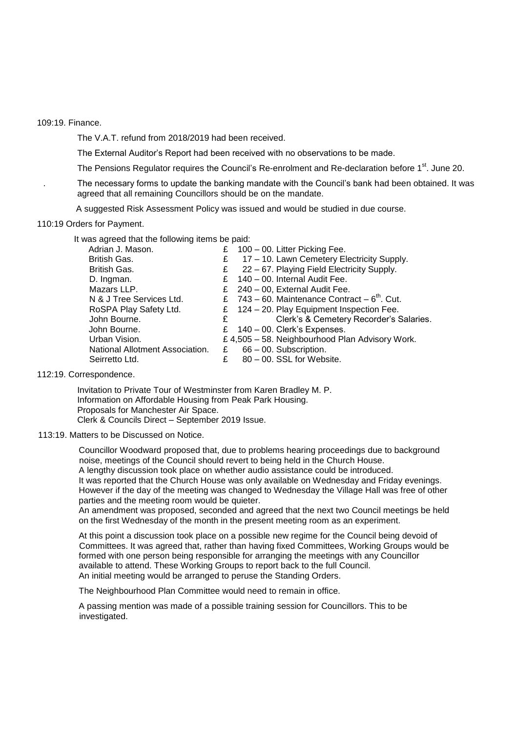109:19. Finance.

The V.A.T. refund from 2018/2019 had been received.

The External Auditor's Report had been received with no observations to be made.

The Pensions Regulator requires the Council's Re-enrolment and Re-declaration before 1<sup>st</sup>. June 20.

. The necessary forms to update the banking mandate with the Council's bank had been obtained. It was agreed that all remaining Councillors should be on the mandate.

A suggested Risk Assessment Policy was issued and would be studied in due course.

110:19 Orders for Payment.

It was agreed that the following items be paid:

| Adrian J. Mason.                |   | £ $100 - 00$ . Litter Picking Fee.                            |
|---------------------------------|---|---------------------------------------------------------------|
| British Gas.                    | £ | 17 – 10. Lawn Cemetery Electricity Supply.                    |
| British Gas.                    | £ | 22 – 67. Playing Field Electricity Supply.                    |
| D. Ingman.                      |   | £ 140 - 00. Internal Audit Fee.                               |
| Mazars LLP.                     |   | £ 240 - 00, External Audit Fee.                               |
| N & J Tree Services Ltd.        |   | £ $743 - 60$ . Maintenance Contract $-6$ <sup>th</sup> . Cut. |
| RoSPA Play Safety Ltd.          |   | £ 124 - 20. Play Equipment Inspection Fee.                    |
| John Bourne.                    | £ | Clerk's & Cemetery Recorder's Salaries.                       |
| John Bourne.                    |   | £ $140 - 00$ . Clerk's Expenses.                              |
| Urban Vision.                   |   | £4,505 - 58. Neighbourhood Plan Advisory Work.                |
| National Allotment Association. | £ | 66 - 00. Subscription.                                        |
| Seirretto Ltd.                  |   | 80 - 00. SSL for Website.                                     |
|                                 |   |                                                               |

# 112:19. Correspondence.

Invitation to Private Tour of Westminster from Karen Bradley M. P. Information on Affordable Housing from Peak Park Housing. Proposals for Manchester Air Space. Clerk & Councils Direct – September 2019 Issue.

#### 113:19. Matters to be Discussed on Notice.

 Councillor Woodward proposed that, due to problems hearing proceedings due to background noise, meetings of the Council should revert to being held in the Church House. A lengthy discussion took place on whether audio assistance could be introduced. It was reported that the Church House was only available on Wednesday and Friday evenings. However if the day of the meeting was changed to Wednesday the Village Hall was free of other parties and the meeting room would be quieter.

 An amendment was proposed, seconded and agreed that the next two Council meetings be held on the first Wednesday of the month in the present meeting room as an experiment.

 At this point a discussion took place on a possible new regime for the Council being devoid of Committees. It was agreed that, rather than having fixed Committees, Working Groups would be formed with one person being responsible for arranging the meetings with any Councillor available to attend. These Working Groups to report back to the full Council. An initial meeting would be arranged to peruse the Standing Orders.

The Neighbourhood Plan Committee would need to remain in office.

 A passing mention was made of a possible training session for Councillors. This to be investigated.